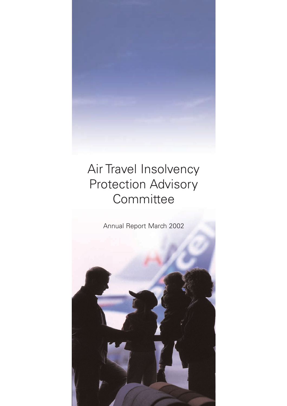# Air Travel Insolvency Protection Advisory **Committee**

Annual Report March 2002

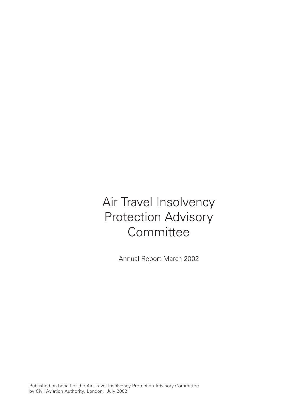# Air Travel Insolvency Protection Advisory **Committee**

Annual Report March 2002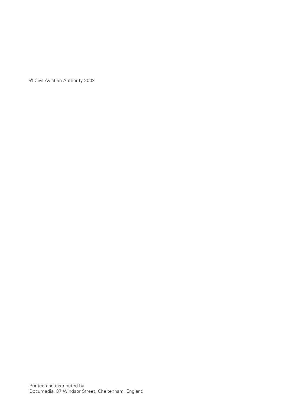© Civil Aviation Authority 2002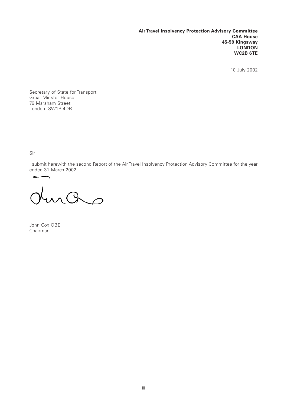**Air Travel Insolvency Protection Advisory Committee CAA House 45-59 Kingsway LONDON WC2B 6TE**

10 July 2002

Secretary of State for Transport Great Minster House 76 Marsham Street London SW1P 4DR

Sir

I submit herewith the second Report of the Air Travel Insolvency Protection Advisory Committee for the year ended 31 March 2002.

 $\overline{\phantom{a}}$ mas

John Cox OBE Chairman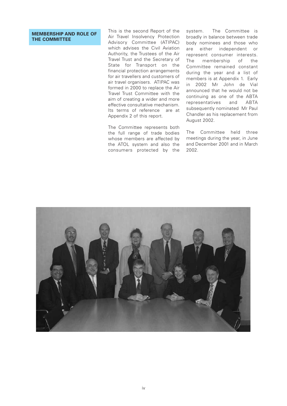### **MEMBERSHIP AND ROLE OF THE COMMITTEE**

This is the second Report of the Air Travel Insolvency Protection Advisory Committee (ATIPAC) which advises the Civil Aviation Authority, the Trustees of the Air Travel Trust and the Secretary of State for Transport on the financial protection arrangements for air travellers and customers of air travel organisers. ATIPAC was formed in 2000 to replace the Air Travel Trust Committee with the aim of creating a wider and more effective consultative mechanism. Its terms of reference are at Appendix 2 of this report.

The Committee represents both the full range of trade bodies whose members are affected by the ATOL system and also the consumers protected by the

system. The Committee is broadly in balance between trade body nominees and those who are either independent or represent consumer interests. The membership of the Committee remained constant during the year and a list of members is at Appendix 1. Early in 2002 Mr John de Vial announced that he would not be continuing as one of the ABTA representatives and ABTA subsequently nominated Mr Paul Chandler as his replacement from August 2002.

The Committee held three meetings during the year, in June and December 2001 and in March 2002.

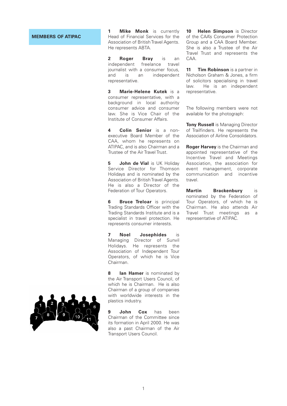### **MEMBERS OF ATIPAC**

**1 Mike Monk** is currently Head of Financial Services for the Association of British Travel Agents. He represents ABTA.

**2 Roger Bray** is an independent freelance travel journalist with a consumer focus, and is an independent representative.

**3 Marie-Helene Kutek** is a consumer representative, with a background in local authority consumer advice and consumer law. She is Vice Chair of the Institute of Consumer Affairs.

**4 Colin Senior** is a nonexecutive Board Member of the CAA, whom he represents on ATIPAC, and is also Chairman and a Trustee of the Air Travel Trust.

**5 John de Vial** is UK Holiday Service Director for Thomson Holidays and is nominated by the Association of British Travel Agents. He is also a Director of the Federation of Tour Operators.

**6 Bruce Treloar** is principal Trading Standards Officer with the Trading Standards Institute and is a specialist in travel protection. He represents consumer interests.

**7 Noel Josephides** is Managing Director of Sunvil Holidays. He represents the Association of Independent Tour Operators, of which he is Vice Chairman.

**8 Ian Hamer** is nominated by the Air Transport Users Council, of which he is Chairman. He is also Chairman of a group of companies with worldwide interests in the plastics industry.

**9 John Cox** has been Chairman of the Committee since its formation in April 2000. He was also a past Chairman of the Air Transport Users Council.

**10 Helen Simpson** is Director of the CAA's Consumer Protection Group and a CAA Board Member. She is also a Trustee of the Air Travel Trust and represents the CAA.

**11 Tim Robinson** is a partner in Nicholson Graham & Jones, a firm of solicitors specialising in travel law. He is an independent representative.

The following members were not available for the photograph:

**Tony Russell** is Managing Director of Trailfinders. He represents the Association of Airline Consolidators.

**Roger Harvey** is the Chairman and appointed representative of the Incentive Travel and Meetings Association, the association for event management, corporate communication and incentive travel.

**Martin Brackenbury** is nominated by the Federation of Tour Operators, of which he is Chairman. He also attends Air Travel Trust meetings as a representative of ATIPAC.

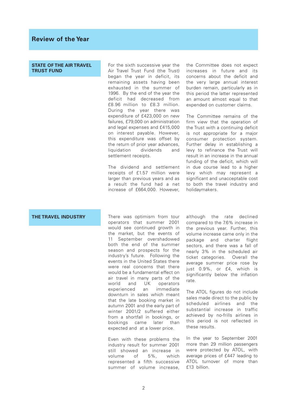**STATE OF THE AIR TRAVEL TRUST FUND**

For the sixth successive year the Air Travel Trust Fund (the Trust) began the year in deficit, its remaining assets having been exhausted in the summer of 1996. By the end of the year the deficit had decreased from £8.96 million to £8.3 million. During the year there was expenditure of £423,000 on new failures, £79,000 on administration and legal expenses and £415,000 on interest payable. However, this expenditure was offset by the return of prior year advances, liquidation dividends and settlement receipts.

The dividend and settlement receipts of £1.57 million were larger than previous years and as a result the fund had a net increase of £664,000. However,

the Committee does not expect increases in future and its concerns about the deficit and the very large annual interest burden remain, particularly as in this period the latter represented an amount almost equal to that expended on customer claims.

The Committee remains of the firm view that the operation of the Trust with a continuing deficit is not appropriate for a major consumer protection system. Further delay in establishing a levy to refinance the Trust will result in an increase in the annual funding of the deficit, which will in due course lead to a higher levy which may represent a significant and unacceptable cost to both the travel industry and holidaymakers.

**THE TRAVEL INDUSTRY** There was optimism from tour operators that summer 2001 would see continued growth in the market, but the events of 11 September overshadowed both the end of the summer season and prospects for the industry's future. Following the events in the United States there were real concerns that there would be a fundamental effect on air travel in many parts of the world and UK operators experienced an immediate downturn in sales which meant that the late booking market in autumn 2001 and the early part of winter 2001/2 suffered either from a shortfall in bookings, or bookings came later than expected and at a lower price.

> Even with these problems the industry result for summer 2001 still showed an increase in volume of 5%, which represented a fifth successive summer of volume increase,

although the rate declined compared to the 7.6% increase in the previous year. Further, this volume increase came only in the package and charter flight sectors, and there was a fall of nearly 3% in the scheduled air ticket categories. Overall the average summer price rose by just 0.9%, or £4, which is significantly below the inflation rate.

The ATOL figures do not include sales made direct to the public by scheduled airlines and the substantial increase in traffic achieved by no-frills airlines in this period is not reflected in these results.

In the year to September 2001 more than 29 million passengers were protected by ATOL, with average prices of £447 leading to ATOL turnover of more than £13 billion.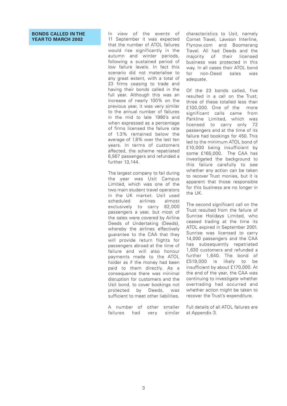### **BONDS CALLED IN THE YEAR TO MARCH 2002**

In view of the events of 11 September it was expected that the number of ATOL failures would rise significantly in the autumn and winter periods, following a sustained period of low failure levels. In fact this scenario did not materialise to any great extent, with a total of 23 firms ceasing to trade and having their bonds called in the full year. Although this was an increase of nearly 100% on the previous year, it was very similar to the annual number of failures in the mid to late 1990's and when expressed as a percentage of firms licensed the failure rate of 1.3% remained below the average of 1.8% over the last ten years. In terms of customers affected, the scheme repatriated 6,567 passengers and refunded a further 13,144.

The largest company to fail during the year was Usit Campus Limited, which was one of the two main student travel operators in the UK market. Usit used scheduled airlines almost exclusively to carry 82,000 passengers a year, but most of the sales were covered by Airline Deeds of Undertaking (Deeds), whereby the airlines effectively guarantee to the CAA that they will provide return flights for passengers abroad at the time of failure and will also honour payments made to the ATOL holder as if the money had been paid to them directly. As a consequence there was minimal disruption for customers and the Usit bond, to cover bookings not protected by Deeds, was sufficient to meet other liabilities.

A number of other smaller failures had very similar

characteristics to Usit, namely Comet Travel, Lawson Interline, Flynow.com and Boomerang Travel. All had Deeds and the majority of their licensed business was protected in this way. In all cases their ATOL bond for non-Deed sales was adequate.

Of the 23 bonds called, five resulted in a call on the Trust; three of these totalled less than £100,000. One of the more significant calls came from Parkline Limited, which was licensed to carry only 72 passengers and at the time of its failure had bookings for 450. This led to the minimum ATOL bond of £10,000 being insufficient by some £165,000. The CAA has investigated the background to this failure carefully to see whether any action can be taken to recover Trust monies, but it is apparent that those responsible for this business are no longer in the UK.

The second significant call on the Trust resulted from the failure of Sunrise Holidays Limited, who ceased trading at the time its ATOL expired in September 2001. Sunrise was licensed to carry 14,000 passengers and the CAA has subsequently repatriated 1,630 customers and refunded a further 1,640. The bond of £519,000 is likely to be insufficient by about £170,000. At the end of the year, the CAA was continuing to investigate whether overtrading had occurred and whether action might be taken to recover the Trust's expenditure.

Full details of all ATOL failures are at Appendix 3.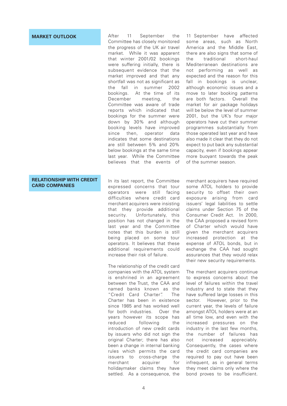### **RELATIONSHIP WITH CREDIT CARD COMPANIES**

**MARKET OUTLOOK** After 11 September the Committee has closely monitored the progress of the UK air travel market. While it was apparent that winter 2001/02 bookings were suffering initially, there is subsequent evidence that the market improved and that any shortfall was not as significant as the fall in summer 2002 bookings. At the time of its December meeting, the Committee was aware of trade reports which indicated that bookings for the summer were down by 30% and although booking levels have improved since then, operator data indicates that some destinations are still between 5% and 20% below bookings at the same time last year. While the Committee believes that the events of

> In its last report, the Committee expressed concerns that tour operators were still facing difficulties where credit card merchant acquirers were insisting that they provide additional security. Unfortunately, this position has not changed in the last year and the Committee notes that this burden is still being placed on some tour operators. It believes that these additional requirements could increase their risk of failure.

> The relationship of the credit card companies with the ATOL system is enshrined in an agreement between the Trust, the CAA and named banks known as the "Credit Card Charter". The Charter has been in existence since 1985 and has worked well for both industries. Over the years however its scope has reduced following the introduction of new credit cards by issuers who did not sign the original Charter; there has also been a change in internal banking rules which permits the card issuers to cross-charge the merchant acquirer for holidaymaker claims they have settled. As a consequence, the

11 September have affected some areas, such as North America and the Middle East, there are also signs that some of the traditional short-haul Mediterranean destinations are not performing as well as expected and the reason for this fall in bookings is unclear, although economic issues and a move to later booking patterns are both factors. Overall the market for air package holidays will be below the level of summer 2001, but the UK's four major operators have cut their summer programmes substantially from those operated last year and have also made it clear that they do not expect to put back any substantial capacity, even if bookings appear more buoyant towards the peak of the summer season.

merchant acquirers have required some ATOL holders to provide security to offset their own exposure arising from card issuers' legal liabilities to settle claims under Section 75 of the Consumer Credit Act. In 2000, the CAA proposed a revised form of Charter which would have given the merchant acquirers increased protection at the expense of ATOL bonds, but in exchange the CAA had sought assurances that they would relax their new security requirements.

The merchant acquirers continue to express concerns about the level of failures within the travel industry and to state that they have suffered large losses in this sector. However, prior to the current year, the levels of failure amongst ATOL holders were at an all time low, and even with the increased pressures on the industry in the last few months, the number of failures has not increased appreciably. Consequently, the cases where the credit card companies are required to pay out have been infrequent, as in general terms they meet claims only where the bond proves to be insufficient.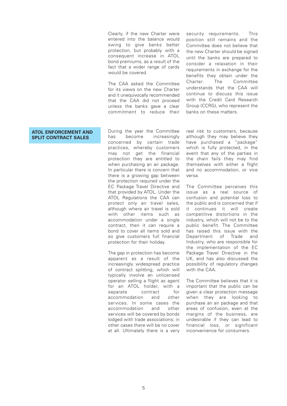Clearly, if the new Charter were entered into the balance would swing to give banks better protection, but probably with a consequent increase in ATOL bond premiums, as a result of the fact that a wider range of cards would be covered.

The CAA asked the Committee for its views on the new Charter and it unequivocally recommended that the CAA did not proceed unless the banks gave a clear commitment to reduce their

security requirements. This position still remains and the Committee does not believe that the new Charter should be signed until the banks are prepared to consider a relaxation in their requirements in exchange for the benefits they obtain under the Charter. The Committee understands that the CAA will continue to discuss this issue with the Credit Card Research Group (CCRG), who represent the banks on these matters.

### **ATOL ENFORCEMENT AND SPLIT CONTRACT SALES**

During the year the Committee has become increasingly concerned by certain trade practices, whereby customers may not get the financial protection they are entitled to when purchasing an air package. In particular there is concern that there is a growing gap between the protection required under the EC Package Travel Directive and that provided by ATOL. Under the ATOL Regulations the CAA can protect only air travel sales, although where air travel is sold with other items such as accommodation under a single contract, then it can require a bond to cover all items sold and so give customers full financial protection for their holiday.

The gap in protection has become apparent as a result of the increasingly widespread practice of contract splitting, which will typically involve an unlicensed operator selling a flight as agent for an ATOL holder, with a separate contract for accommodation and other services. In some cases the accommodation and other services will be covered by bonds lodged with trade associations; in other cases there will be no cover at all. Ultimately there is a very

real risk to customers, because although they may believe they have purchased a "package" which is fully protected, in the event that any of the parties in the chain fails they may find themselves with either a flight and no accommodation, or vice versa.

The Committee perceives this issue as a real source of confusion and potential loss to the public and is concerned that if it continues it will create competitive distortions in the industry, which will not be to the public benefit. The Committee has raised this issue with the Department of Trade and Industry, who are responsible for the implementation of the EC Package Travel Directive in the UK, and has also discussed the possibility of regulatory changes with the CAA.

The Committee believes that it is important that the public can be given a clear protection message when they are looking to purchase an air package and that areas of confusion, even at the margins of the business, are undesirable if they can lead to financial loss, or significant inconvenience for consumers.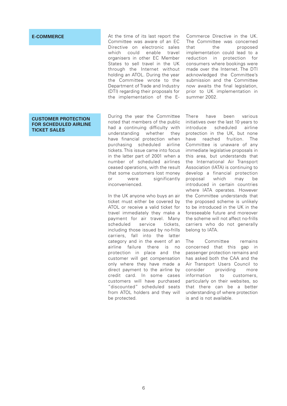### **E-COMMERCE**

### **CUSTOMER PROTECTION FOR SCHEDULED AIRLINE TICKET SALES**

At the time of its last report the Committee was aware of an EC Directive on electronic sales which could enable travel organisers in other EC Member States to sell travel in the UK through the Internet without holding an ATOL. During the year the Committee wrote to the Department of Trade and Industry (DTI) regarding their proposals for the implementation of the E-

During the year the Committee noted that members of the public had a continuing difficulty with understanding whether they have financial protection when purchasing scheduled airline tickets. This issue came into focus in the latter part of 2001 when a number of scheduled airlines ceased operations, with the result that some customers lost money or were significantly inconvenienced.

In the UK anyone who buys an air ticket must either be covered by ATOL or receive a valid ticket for travel immediately they make a payment for air travel. Many scheduled service tickets, including those issued by no-frills carriers, fall into the latter category and in the event of an airline failure there is no protection in place and the customer will get compensation only where they have made a direct payment to the airline by credit card. In some cases customers will have purchased "discounted" scheduled seats from ATOL holders and they will be protected.

Commerce Directive in the UK. The Committee was concerned that the proposed implementation could lead to a reduction in protection for consumers where bookings were made over the Internet. The DTI acknowledged the Committee's submission and the Committee now awaits the final legislation, prior to UK implementation in summer 2002.

There have been various initiatives over the last 10 years to introduce scheduled airline protection in the UK, but none have reached fruition. The Committee is unaware of any immediate legislative proposals in this area, but understands that the International Air Transport Association (IATA) is continuing to develop a financial protection proposal which may be introduced in certain countries where IATA operates. However the Committee understands that the proposed scheme is unlikely to be introduced in the UK in the foreseeable future and moreover the scheme will not affect no-frills carriers who do not generally belong to IATA.

The Committee remains concerned that this gap in passenger protection remains and has asked both the CAA and the Air Transport Users Council to consider providing more information to customers, particularly on their websites, so that there can be a better understanding of where protection is and is not available.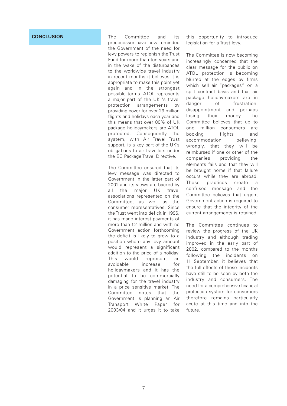### **CONCLUSION**

The Committee and its predecessor have now reminded the Government of the need for levy powers to replenish the Trust Fund for more than ten years and in the wake of the disturbances to the worldwide travel industry in recent months it believes it is appropriate to make this point yet again and in the strongest possible terms. ATOL represents a major part of the UK 's travel protection arrangements by providing cover for over 29 million flights and holidays each year and this means that over 80% of UK package holidaymakers are ATOL protected. Consequently the system, with Air Travel Trust support, is a key part of the UK's obligations to air travellers under the EC Package Travel Directive.

The Committee ensured that its levy message was directed to Government in the latter part of 2001 and its views are backed by all the major UK travel associations represented on the Committee, as well as the consumer representatives. Since the Trust went into deficit in 1996, it has made interest payments of more than £2 million and with no Government action forthcoming the deficit is likely to grow to a position where any levy amount would represent a significant addition to the price of a holiday. This would represent an avoidable increase for holidaymakers and it has the potential to be commercially damaging for the travel industry in a price sensitive market. The Committee notes that the Government is planning an Air Transport White Paper for 2003/04 and it urges it to take

this opportunity to introduce legislation for a Trust levy.

The Committee is now becoming increasingly concerned that the clear message for the public on ATOL protection is becoming blurred at the edges by firms which sell air "packages" on a split contract basis and that air package holidaymakers are in danger of frustration, disappointment and perhaps losing their money. The Committee believes that up to one million consumers are booking flights and accommodation believing, wrongly, that they will be reimbursed if one or other of the companies providing the elements fails and that they will be brought home if that failure occurs while they are abroad. These practices create a confused message and the Committee believes that urgent Government action is required to ensure that the integrity of the current arrangements is retained.

The Committee continues to review the progress of the UK industry and although trading improved in the early part of 2002, compared to the months following the incidents on 11 September, it believes that the full effects of those incidents have still to be seen by both the industry and consumers. The need for a comprehensive financial protection system for consumers therefore remains particularly acute at this time and into the future.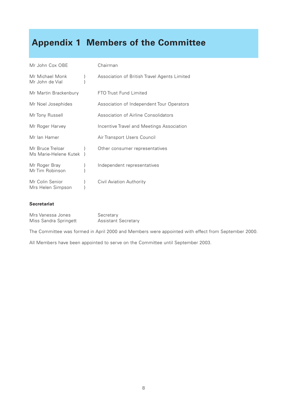## **Appendix 1 Members of the Committee**

| Mr John Cox OBE                           |   | Chairman                                     |
|-------------------------------------------|---|----------------------------------------------|
| Mr Michael Monk<br>Mr John de Vial        | ł | Association of British Travel Agents Limited |
| Mr Martin Brackenbury                     |   | FTO Trust Fund Limited                       |
| Mr Noel Josephides                        |   | Association of Independent Tour Operators    |
| Mr Tony Russell                           |   | Association of Airline Consolidators         |
| Mr Roger Harvey                           |   | Incentive Travel and Meetings Association    |
| Mr Ian Hamer                              |   | Air Transport Users Council                  |
| Mr Bruce Treloar<br>Ms Marie-Helene Kutek |   | Other consumer representatives               |
| Mr Roger Bray<br>Mr Tim Robinson          | ł | Independent representatives                  |
| Mr Colin Senior<br>Mrs Helen Simpson      |   | Civil Aviation Authority                     |

### **Secretariat**

| Mrs Vanessa Jones     | Secretary                  |
|-----------------------|----------------------------|
| Miss Sandra Springett | <b>Assistant Secretary</b> |

The Committee was formed in April 2000 and Members were appointed with effect from September 2000.

All Members have been appointed to serve on the Committee until September 2003.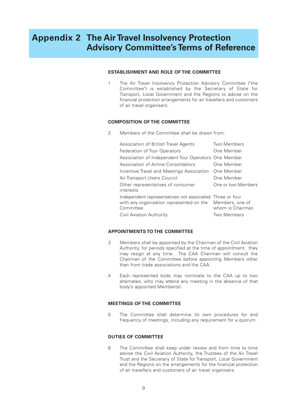## **Appendix 2 The Air Travel Insolvency Protection Advisory Committee's Terms of Reference**

### **ESTABLISHMENT AND ROLE OF THE COMMITTEE**

1 The Air Travel Insolvency Protection Advisory Committee ("the Committee") is established by the Secretary of State for Transport, Local Government and the Regions to advise on the financial protection arrangements for air travellers and customers of air travel organisers.

### **COMPOSITION OF THE COMMITTEE**

2 Members of the Committee shall be drawn from:

| Association of British Travel Agents                                                                              | Two Members                         |
|-------------------------------------------------------------------------------------------------------------------|-------------------------------------|
| Federation of Tour Operators                                                                                      | One Member                          |
| Association of Independent Tour Operators One Member                                                              |                                     |
| Association of Airline Consolidators                                                                              | One Member                          |
| Incentive Travel and Meetings Association                                                                         | One Member                          |
| Air Transport Users Council                                                                                       | One Member                          |
| Other representatives of consumer<br>interests                                                                    | One or two Members                  |
| Independent representatives not associated Three or four<br>with any organisation represented on the<br>Committee | Members, one of<br>whom is Chairman |
| Civil Aviation Authority                                                                                          | Two Members                         |

### **APPOINTMENTS TO THE COMMITTEE**

- 3 Members shall be appointed by the Chairman of the Civil Aviation Authority, for periods specified at the time of appointment; they may resign at any time. The CAA Chairman will consult the Chairman of the Committee before appointing Members other than from trade associations and the CAA.
- 4 Each represented body may nominate to the CAA up to two alternates, who may attend any meeting in the absence of that body's appointed Member(s).

### **MEETINGS OF THE COMMITTEE**

5 The Committee shall determine its own procedures for and frequency of meetings, including any requirement for a quorum.

### **DUTIES OF COMMITTEE**

6 The Committee shall keep under review and from time to time advise the Civil Aviation Authority, the Trustees of the Air Travel Trust and the Secretary of State for Transport, Local Government and the Regions on the arrangements for the financial protection of air travellers and customers of air travel organisers.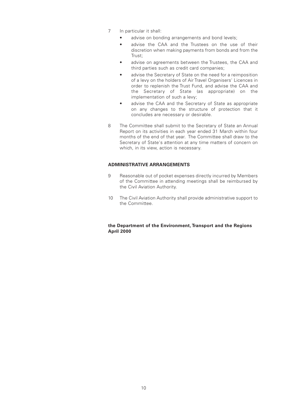- 7 In particular it shall:
	- advise on bonding arrangements and bond levels;
	- advise the CAA and the Trustees on the use of their discretion when making payments from bonds and from the Trust;
	- advise on agreements between the Trustees, the CAA and third parties such as credit card companies;
	- advise the Secretary of State on the need for a reimposition of a levy on the holders of Air Travel Organisers' Licences in order to replenish the Trust Fund, and advise the CAA and the Secretary of State (as appropriate) on the implementation of such a levy;
	- advise the CAA and the Secretary of State as appropriate on any changes to the structure of protection that it concludes are necessary or desirable.
- 8 The Committee shall submit to the Secretary of State an Annual Report on its activities in each year ended 31 March within four months of the end of that year. The Committee shall draw to the Secretary of State's attention at any time matters of concern on which, in its view, action is necessary.

### **ADMINISTRATIVE ARRANGEMENTS**

- 9 Reasonable out of pocket expenses directly incurred by Members of the Committee in attending meetings shall be reimbursed by the Civil Aviation Authority.
- 10 The Civil Aviation Authority shall provide administrative support to the Committee.

### **the Department of the Environment, Transport and the Regions April 2000**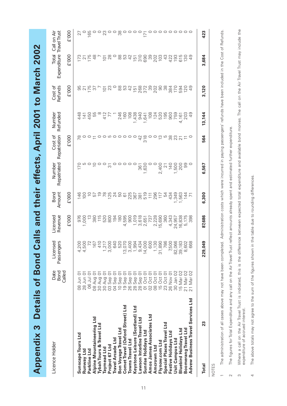Appendix 3 Details of Bond Calls and their effects, April 2001 to March 2002 **Appendix 3 Details of Bond Calls and their effects, April 2001 to March 2002**

| Licence Holder                     | Date<br><b>Bond</b><br>Called       | Licensed<br>ssengers<br>Passenger                                                                                                                                                                                                                                  | Licensed<br>Revenue                              | Bond<br>Amount | Repatriated<br>Number                         | Repatriation<br>Cost of                                                                                                                                                                                                                                                                    | Number<br>Refunded                                                                                                                                                                                                                                                                                                                              | Cost of<br>Refunds                                                        | Total<br>Expenditure     | Travel Trust<br>Call on Air |
|------------------------------------|-------------------------------------|--------------------------------------------------------------------------------------------------------------------------------------------------------------------------------------------------------------------------------------------------------------------|--------------------------------------------------|----------------|-----------------------------------------------|--------------------------------------------------------------------------------------------------------------------------------------------------------------------------------------------------------------------------------------------------------------------------------------------|-------------------------------------------------------------------------------------------------------------------------------------------------------------------------------------------------------------------------------------------------------------------------------------------------------------------------------------------------|---------------------------------------------------------------------------|--------------------------|-----------------------------|
|                                    |                                     |                                                                                                                                                                                                                                                                    | £'000                                            | £'000          |                                               | <b>E'000</b>                                                                                                                                                                                                                                                                               |                                                                                                                                                                                                                                                                                                                                                 | £'000                                                                     | E'OOO                    | £'000                       |
| Sunscape Tours Ltd                 | 08 Jun 01                           |                                                                                                                                                                                                                                                                    |                                                  |                | 170                                           |                                                                                                                                                                                                                                                                                            |                                                                                                                                                                                                                                                                                                                                                 |                                                                           |                          | 27                          |
| Runway Ltd                         | 28 Jun 01                           |                                                                                                                                                                                                                                                                    |                                                  |                |                                               |                                                                                                                                                                                                                                                                                            |                                                                                                                                                                                                                                                                                                                                                 |                                                                           |                          |                             |
| Parkline Ltd                       | 06 Jul 0                            | $\begin{array}{cccc}\n4.4 & 0.000000\\ 4.4 & 0.000000\\ 7.5000000\\ 7.500000\\ 8.500000\\ 7.500000\\ 9.50000\\ 1.50000\\ 1.50000\\ 1.50000\\ 1.50000\\ 1.50000\\ 1.50000\\ 1.50000\\ 1.50000\\ 1.50000\\ 1.50000\\ 1.50000\\ 1.50000\\ 1.50000\\ 1.50000\\ 1.5000$ |                                                  |                |                                               | $\frac{1}{20}$                                                                                                                                                                                                                                                                             | 4116<br>4106<br>4106                                                                                                                                                                                                                                                                                                                            |                                                                           | $5.758$ $5.8$            |                             |
| Alpine Mountaineering Ltd          | 08 Aug 1                            |                                                                                                                                                                                                                                                                    |                                                  |                |                                               |                                                                                                                                                                                                                                                                                            |                                                                                                                                                                                                                                                                                                                                                 |                                                                           |                          |                             |
| Tybah Tours & Travel Ltd           | 30 Aug                              |                                                                                                                                                                                                                                                                    |                                                  |                |                                               | 00000000                                                                                                                                                                                                                                                                                   |                                                                                                                                                                                                                                                                                                                                                 |                                                                           |                          |                             |
| Taymead Ltd                        | 30 Aug 1                            |                                                                                                                                                                                                                                                                    |                                                  |                |                                               |                                                                                                                                                                                                                                                                                            | $^{27}_{60}$                                                                                                                                                                                                                                                                                                                                    |                                                                           |                          |                             |
| Project 67 Ltd                     | 03 Sep (                            |                                                                                                                                                                                                                                                                    |                                                  |                | က်                                            |                                                                                                                                                                                                                                                                                            |                                                                                                                                                                                                                                                                                                                                                 | $\overline{5}$ $\overline{2}$                                             |                          |                             |
| Travel Arcade Ltd                  | 04 Sep (                            |                                                                                                                                                                                                                                                                    |                                                  |                |                                               |                                                                                                                                                                                                                                                                                            |                                                                                                                                                                                                                                                                                                                                                 |                                                                           |                          |                             |
| Bon Voyage Travel Ltd              | 10 Sep (                            |                                                                                                                                                                                                                                                                    |                                                  |                |                                               |                                                                                                                                                                                                                                                                                            |                                                                                                                                                                                                                                                                                                                                                 |                                                                           |                          |                             |
| Comet Travel (Oxford Street) Ltd   | 19 Sep                              | 13,07                                                                                                                                                                                                                                                              | 4,595<br>900                                     |                |                                               |                                                                                                                                                                                                                                                                                            | $246$<br>$0.8$<br>$0.8$                                                                                                                                                                                                                                                                                                                         | 8<br>8 8 9 4 5 8 9 9 9 9 8 9 9 9 9 9 9 9<br>8 9 9 5 9 9 9 9 9 9 9 9 9 9 9 | 885456888644565488848884 |                             |
| Towns Travel Ltd                   | 26 Sep                              |                                                                                                                                                                                                                                                                    |                                                  |                |                                               |                                                                                                                                                                                                                                                                                            |                                                                                                                                                                                                                                                                                                                                                 |                                                                           |                          |                             |
| Keystone Leisure (Scotland) Ltd    | 28 Sep (                            | 1,99.                                                                                                                                                                                                                                                              |                                                  |                |                                               |                                                                                                                                                                                                                                                                                            |                                                                                                                                                                                                                                                                                                                                                 |                                                                           |                          |                             |
| Lawson Interline Travel Ltd        |                                     | 9,43                                                                                                                                                                                                                                                               |                                                  |                |                                               |                                                                                                                                                                                                                                                                                            |                                                                                                                                                                                                                                                                                                                                                 |                                                                           |                          |                             |
| Sunrise Holidays Ltd               | 28 Sep 01<br>01 Oct 01              |                                                                                                                                                                                                                                                                    | 1018<br>1618 1788<br>1851 1890<br>1860 1870 1880 |                |                                               | $\overset{\Delta}{\sigma} \overset{\omega}{\sigma} \circ \overset{\omega}{\sigma} \overset{\omega}{\sigma} \overset{\omega}{\sigma} \overset{\omega}{\sigma} \overset{\omega}{\sigma} \overset{\omega}{\sigma} \overset{\omega}{\sigma} \overset{\omega}{\sigma} \overset{\omega}{\sigma}$ | $\begin{array}{l} 1.430 \\ 1.440 \\ -.450 \\ -.450 \\ -.450 \\ -.450 \\ -.450 \\ -.450 \\ -.450 \\ -.450 \\ -.450 \\ -.450 \\ -.450 \\ -.450 \\ -.450 \\ -.450 \\ -.450 \\ -.450 \\ -.450 \\ -.450 \\ -.450 \\ -.450 \\ -.450 \\ -.450 \\ -.450 \\ -.450 \\ -.450 \\ -.450 \\ -.450 \\ -.450 \\ -.450 \\ -.450 \\ -.450 \\ -.450 \\ -.450 \\ -$ |                                                                           |                          |                             |
| Amos James Associates Ltd          |                                     |                                                                                                                                                                                                                                                                    |                                                  |                |                                               |                                                                                                                                                                                                                                                                                            |                                                                                                                                                                                                                                                                                                                                                 |                                                                           |                          |                             |
| Amcrown Ltd                        | 02 Oct 01<br>08 Oct 01<br>15 Oct 01 |                                                                                                                                                                                                                                                                    |                                                  |                |                                               |                                                                                                                                                                                                                                                                                            |                                                                                                                                                                                                                                                                                                                                                 |                                                                           |                          |                             |
| Flynow.com Ltd                     |                                     |                                                                                                                                                                                                                                                                    |                                                  |                |                                               |                                                                                                                                                                                                                                                                                            |                                                                                                                                                                                                                                                                                                                                                 |                                                                           |                          |                             |
| Special Places Travel Ltd          | 23 Oct 01                           |                                                                                                                                                                                                                                                                    |                                                  | 54             |                                               |                                                                                                                                                                                                                                                                                            |                                                                                                                                                                                                                                                                                                                                                 |                                                                           |                          |                             |
| Festive Holidays Ltd               | 26 Nov 01                           |                                                                                                                                                                                                                                                                    | 4,343                                            |                | $2,4000$<br>$7,40000$<br>$1,5000$<br>$1,5000$ |                                                                                                                                                                                                                                                                                            |                                                                                                                                                                                                                                                                                                                                                 |                                                                           |                          |                             |
| Usit Campus Ltd                    | 30 Jan 02                           |                                                                                                                                                                                                                                                                    |                                                  |                |                                               |                                                                                                                                                                                                                                                                                            |                                                                                                                                                                                                                                                                                                                                                 |                                                                           |                          |                             |
| <b>Bluebird Holidays Ltd</b>       | 15 Mar 02                           |                                                                                                                                                                                                                                                                    | 24,957<br>16,838<br>5,175<br>5,98                |                |                                               |                                                                                                                                                                                                                                                                                            |                                                                                                                                                                                                                                                                                                                                                 |                                                                           |                          |                             |
| Boomerang Travel Ltd               | 21 Mar 02                           |                                                                                                                                                                                                                                                                    |                                                  |                |                                               |                                                                                                                                                                                                                                                                                            |                                                                                                                                                                                                                                                                                                                                                 |                                                                           |                          |                             |
| Advew Business Travel Services Ltd | 21 Mar 02                           |                                                                                                                                                                                                                                                                    |                                                  |                |                                               |                                                                                                                                                                                                                                                                                            |                                                                                                                                                                                                                                                                                                                                                 |                                                                           |                          |                             |
| 23<br><b>Total</b>                 |                                     | 229,049                                                                                                                                                                                                                                                            | 87,686                                           | 6,300          | 6,567                                         | 564                                                                                                                                                                                                                                                                                        | 13,144                                                                                                                                                                                                                                                                                                                                          | 3,120                                                                     | 3,684                    | 423                         |

NOTES

 $\overline{a}$ 

The administration of all cases above may not have been completed. Administration costs which were incurred in paying passengers' refunds have been included in the Cost of Refunds. 1 The administration of all cases above may not have been completed. Administration costs which were incurred in paying passengers' refunds have been included in the Cost of Refunds.

The figures for Total Expenditure and any call on the Air Travel Trust reflect amounts already spent and estimated further expenditure. 2 The figures for Total Expenditure and any call on the Air Travel Trust reflect amounts already spent and estimated further expenditure.  $\sim$ 

- Where a call on the Air Travel Trust is indicated, this is the difference between expected total expenditure and available bond monies. The call on the Air Travel Trust may include the<br>expenditure of accrued interest. 3 Where a call on the Air Travel Trust is indicated, this is the difference between expected total expenditure and available bond monies. The call on the Air Travel Trust may include the expenditure of accrued interest.  $\infty$
- The above totals may not agree to the sum of the figures shown in the table due to rounding differences. 4 The above totals may not agree to the sum of the figures shown in the table due to rounding differences.  $\overline{a}$